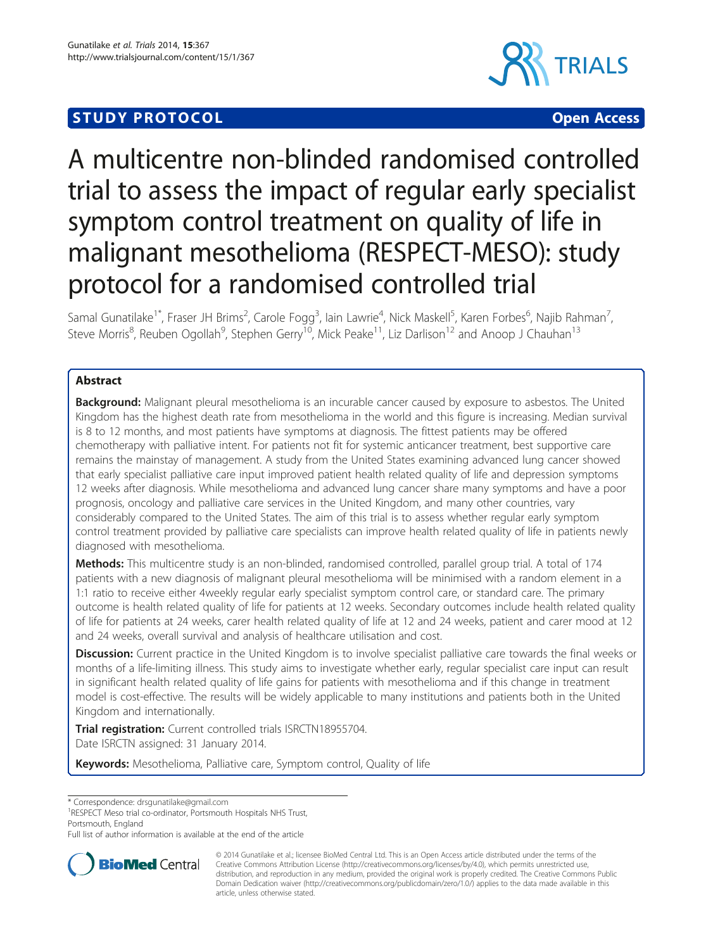# **STUDY PROTOCOL CONSUMING THE RESERVE ACCESS**



# A multicentre non-blinded randomised controlled trial to assess the impact of regular early specialist symptom control treatment on quality of life in malignant mesothelioma (RESPECT-MESO): study protocol for a randomised controlled trial

Samal Gunatilake<sup>1\*</sup>, Fraser JH Brims<sup>2</sup>, Carole Fogg<sup>3</sup>, Iain Lawrie<sup>4</sup>, Nick Maskell<sup>5</sup>, Karen Forbes<sup>6</sup>, Najib Rahman<sup>7</sup> , Steve Morris<sup>8</sup>, Reuben Ogollah<sup>9</sup>, Stephen Gerry<sup>10</sup>, Mick Peake<sup>11</sup>, Liz Darlison<sup>12</sup> and Anoop J Chauhan<sup>13</sup>

### Abstract

Background: Malignant pleural mesothelioma is an incurable cancer caused by exposure to asbestos. The United Kingdom has the highest death rate from mesothelioma in the world and this figure is increasing. Median survival is 8 to 12 months, and most patients have symptoms at diagnosis. The fittest patients may be offered chemotherapy with palliative intent. For patients not fit for systemic anticancer treatment, best supportive care remains the mainstay of management. A study from the United States examining advanced lung cancer showed that early specialist palliative care input improved patient health related quality of life and depression symptoms 12 weeks after diagnosis. While mesothelioma and advanced lung cancer share many symptoms and have a poor prognosis, oncology and palliative care services in the United Kingdom, and many other countries, vary considerably compared to the United States. The aim of this trial is to assess whether regular early symptom control treatment provided by palliative care specialists can improve health related quality of life in patients newly diagnosed with mesothelioma.

Methods: This multicentre study is an non-blinded, randomised controlled, parallel group trial. A total of 174 patients with a new diagnosis of malignant pleural mesothelioma will be minimised with a random element in a 1:1 ratio to receive either 4weekly regular early specialist symptom control care, or standard care. The primary outcome is health related quality of life for patients at 12 weeks. Secondary outcomes include health related quality of life for patients at 24 weeks, carer health related quality of life at 12 and 24 weeks, patient and carer mood at 12 and 24 weeks, overall survival and analysis of healthcare utilisation and cost.

Discussion: Current practice in the United Kingdom is to involve specialist palliative care towards the final weeks or months of a life-limiting illness. This study aims to investigate whether early, regular specialist care input can result in significant health related quality of life gains for patients with mesothelioma and if this change in treatment model is cost-effective. The results will be widely applicable to many institutions and patients both in the United Kingdom and internationally.

Trial registration: Current controlled trials [ISRCTN18955704.](http://www.controlled-trials.com/ISRCTN18955704) Date ISRCTN assigned: 31 January 2014.

Keywords: Mesothelioma, Palliative care, Symptom control, Quality of life

\* Correspondence: [drsgunatilake@gmail.com](mailto:drsgunatilake@gmail.com) <sup>1</sup>

RESPECT Meso trial co-ordinator, Portsmouth Hospitals NHS Trust, Portsmouth, England

Full list of author information is available at the end of the article



<sup>© 2014</sup> Gunatilake et al.; licensee BioMed Central Ltd. This is an Open Access article distributed under the terms of the Creative Commons Attribution License (<http://creativecommons.org/licenses/by/4.0>), which permits unrestricted use, distribution, and reproduction in any medium, provided the original work is properly credited. The Creative Commons Public Domain Dedication waiver [\(http://creativecommons.org/publicdomain/zero/1.0/\)](http://creativecommons.org/publicdomain/zero/1.0/) applies to the data made available in this article, unless otherwise stated.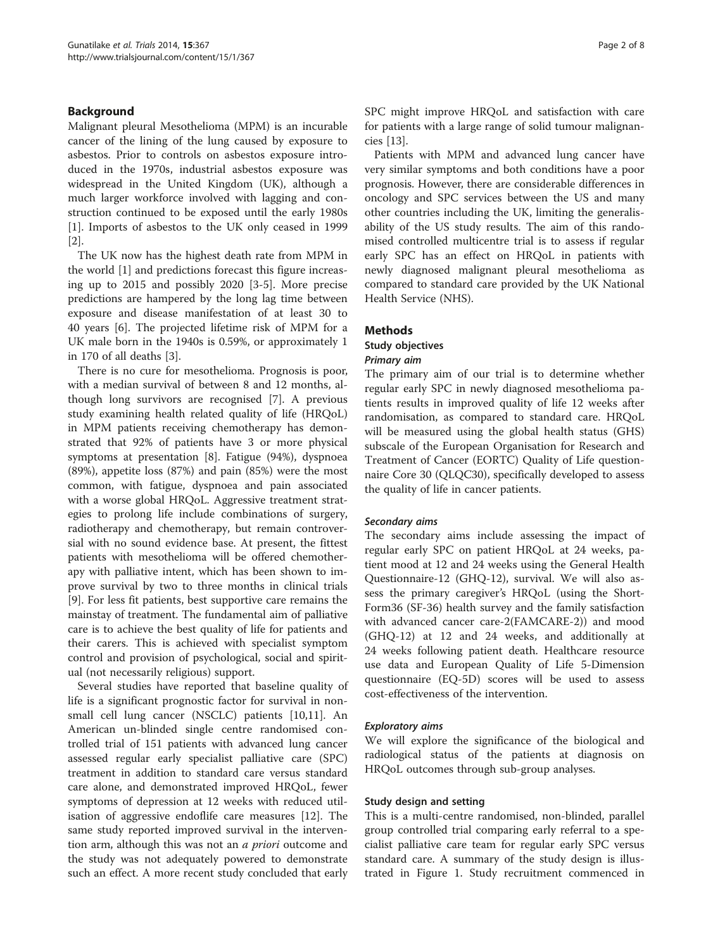#### Background

Malignant pleural Mesothelioma (MPM) is an incurable cancer of the lining of the lung caused by exposure to asbestos. Prior to controls on asbestos exposure introduced in the 1970s, industrial asbestos exposure was widespread in the United Kingdom (UK), although a much larger workforce involved with lagging and construction continued to be exposed until the early 1980s [[1\]](#page-7-0). Imports of asbestos to the UK only ceased in 1999 [[2\]](#page-7-0).

The UK now has the highest death rate from MPM in the world [[1\]](#page-7-0) and predictions forecast this figure increasing up to 2015 and possibly 2020 [\[3](#page-7-0)-[5\]](#page-7-0). More precise predictions are hampered by the long lag time between exposure and disease manifestation of at least 30 to 40 years [[6\]](#page-7-0). The projected lifetime risk of MPM for a UK male born in the 1940s is 0.59%, or approximately 1 in 170 of all deaths [\[3\]](#page-7-0).

There is no cure for mesothelioma. Prognosis is poor, with a median survival of between 8 and 12 months, although long survivors are recognised [[7\]](#page-7-0). A previous study examining health related quality of life (HRQoL) in MPM patients receiving chemotherapy has demonstrated that 92% of patients have 3 or more physical symptoms at presentation [[8\]](#page-7-0). Fatigue (94%), dyspnoea (89%), appetite loss (87%) and pain (85%) were the most common, with fatigue, dyspnoea and pain associated with a worse global HRQoL. Aggressive treatment strategies to prolong life include combinations of surgery, radiotherapy and chemotherapy, but remain controversial with no sound evidence base. At present, the fittest patients with mesothelioma will be offered chemotherapy with palliative intent, which has been shown to improve survival by two to three months in clinical trials [[9\]](#page-7-0). For less fit patients, best supportive care remains the mainstay of treatment. The fundamental aim of palliative care is to achieve the best quality of life for patients and their carers. This is achieved with specialist symptom control and provision of psychological, social and spiritual (not necessarily religious) support.

Several studies have reported that baseline quality of life is a significant prognostic factor for survival in nonsmall cell lung cancer (NSCLC) patients [\[10,11\]](#page-7-0). An American un-blinded single centre randomised controlled trial of 151 patients with advanced lung cancer assessed regular early specialist palliative care (SPC) treatment in addition to standard care versus standard care alone, and demonstrated improved HRQoL, fewer symptoms of depression at 12 weeks with reduced utilisation of aggressive endoflife care measures [\[12](#page-7-0)]. The same study reported improved survival in the intervention arm, although this was not an *a priori* outcome and the study was not adequately powered to demonstrate such an effect. A more recent study concluded that early SPC might improve HRQoL and satisfaction with care for patients with a large range of solid tumour malignancies [[13\]](#page-7-0).

Patients with MPM and advanced lung cancer have very similar symptoms and both conditions have a poor prognosis. However, there are considerable differences in oncology and SPC services between the US and many other countries including the UK, limiting the generalisability of the US study results. The aim of this randomised controlled multicentre trial is to assess if regular early SPC has an effect on HRQoL in patients with newly diagnosed malignant pleural mesothelioma as compared to standard care provided by the UK National Health Service (NHS).

#### **Methods**

## Study objectives

Primary aim

The primary aim of our trial is to determine whether regular early SPC in newly diagnosed mesothelioma patients results in improved quality of life 12 weeks after randomisation, as compared to standard care. HRQoL will be measured using the global health status (GHS) subscale of the European Organisation for Research and Treatment of Cancer (EORTC) Quality of Life questionnaire Core 30 (QLQC30), specifically developed to assess the quality of life in cancer patients.

#### Secondary aims

The secondary aims include assessing the impact of regular early SPC on patient HRQoL at 24 weeks, patient mood at 12 and 24 weeks using the General Health Questionnaire-12 (GHQ-12), survival. We will also assess the primary caregiver's HRQoL (using the Short-Form36 (SF-36) health survey and the family satisfaction with advanced cancer care-2(FAMCARE-2)) and mood (GHQ-12) at 12 and 24 weeks, and additionally at 24 weeks following patient death. Healthcare resource use data and European Quality of Life 5-Dimension questionnaire (EQ-5D) scores will be used to assess cost-effectiveness of the intervention.

#### Exploratory aims

We will explore the significance of the biological and radiological status of the patients at diagnosis on HRQoL outcomes through sub-group analyses.

#### Study design and setting

This is a multi-centre randomised, non-blinded, parallel group controlled trial comparing early referral to a specialist palliative care team for regular early SPC versus standard care. A summary of the study design is illustrated in Figure [1](#page-2-0). Study recruitment commenced in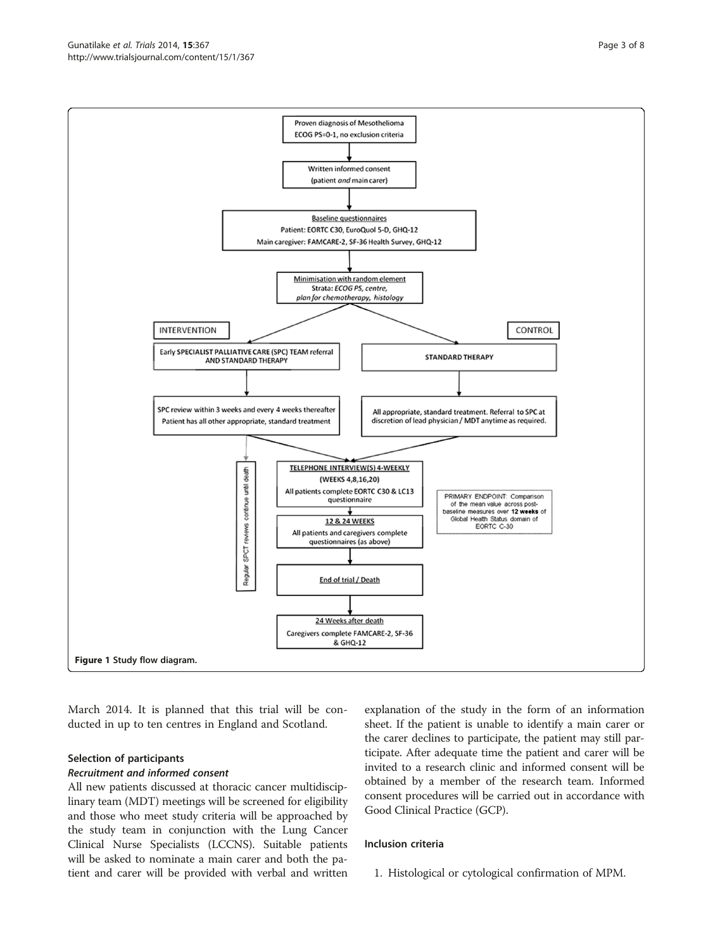March 2014. It is planned that this trial will be conducted in up to ten centres in England and Scotland.

#### Selection of participants

#### Recruitment and informed consent

All new patients discussed at thoracic cancer multidisciplinary team (MDT) meetings will be screened for eligibility and those who meet study criteria will be approached by the study team in conjunction with the Lung Cancer Clinical Nurse Specialists (LCCNS). Suitable patients will be asked to nominate a main carer and both the patient and carer will be provided with verbal and written

explanation of the study in the form of an information sheet. If the patient is unable to identify a main carer or the carer declines to participate, the patient may still participate. After adequate time the patient and carer will be invited to a research clinic and informed consent will be obtained by a member of the research team. Informed consent procedures will be carried out in accordance with Good Clinical Practice (GCP).

#### Inclusion criteria

1. Histological or cytological confirmation of MPM.

<span id="page-2-0"></span>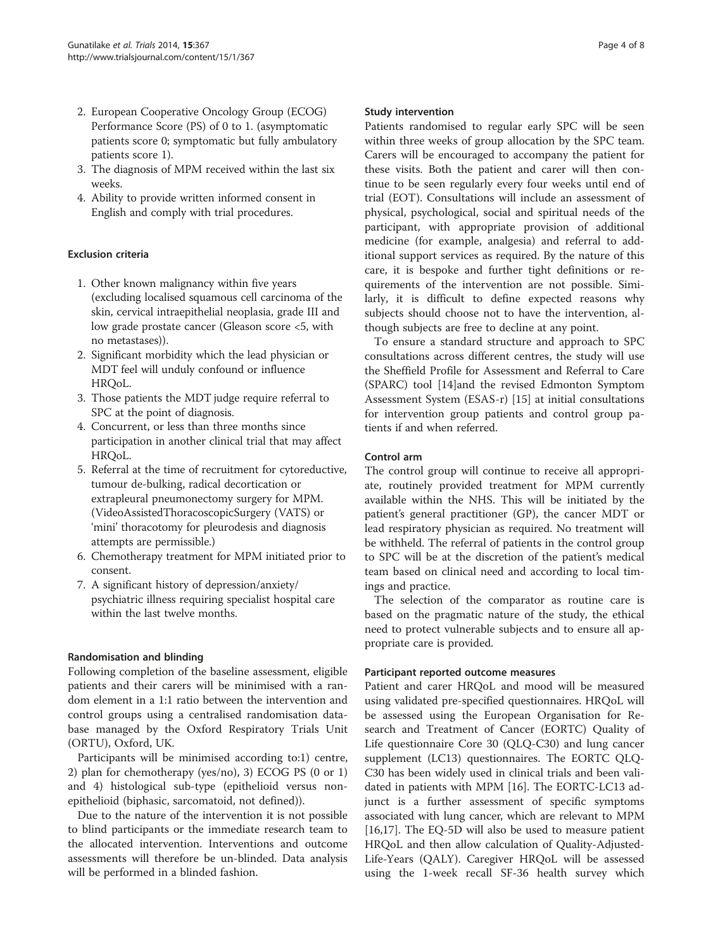- 2. European Cooperative Oncology Group (ECOG) Performance Score (PS) of 0 to 1. (asymptomatic patients score 0; symptomatic but fully ambulatory patients score 1).
- 3. The diagnosis of MPM received within the last six weeks.
- 4. Ability to provide written informed consent in English and comply with trial procedures.

#### Exclusion criteria

- 1. Other known malignancy within five years (excluding localised squamous cell carcinoma of the skin, cervical intraepithelial neoplasia, grade III and low grade prostate cancer (Gleason score <5, with no metastases)).
- 2. Significant morbidity which the lead physician or MDT feel will unduly confound or influence HRQoL.
- 3. Those patients the MDT judge require referral to SPC at the point of diagnosis.
- 4. Concurrent, or less than three months since participation in another clinical trial that may affect HRQoL.
- 5. Referral at the time of recruitment for cytoreductive, tumour de-bulking, radical decortication or extrapleural pneumonectomy surgery for MPM. (VideoAssistedThoracoscopicSurgery (VATS) or 'mini' thoracotomy for pleurodesis and diagnosis attempts are permissible.)
- 6. Chemotherapy treatment for MPM initiated prior to consent.
- 7. A significant history of depression/anxiety/ psychiatric illness requiring specialist hospital care within the last twelve months.

#### Randomisation and blinding

Following completion of the baseline assessment, eligible patients and their carers will be minimised with a random element in a 1:1 ratio between the intervention and control groups using a centralised randomisation database managed by the Oxford Respiratory Trials Unit (ORTU), Oxford, UK.

Participants will be minimised according to:1) centre, 2) plan for chemotherapy (yes/no), 3) ECOG PS (0 or 1) and 4) histological sub-type (epithelioid versus nonepithelioid (biphasic, sarcomatoid, not defined)).

Due to the nature of the intervention it is not possible to blind participants or the immediate research team to the allocated intervention. Interventions and outcome assessments will therefore be un-blinded. Data analysis will be performed in a blinded fashion.

#### Study intervention

Patients randomised to regular early SPC will be seen within three weeks of group allocation by the SPC team. Carers will be encouraged to accompany the patient for these visits. Both the patient and carer will then continue to be seen regularly every four weeks until end of trial (EOT). Consultations will include an assessment of physical, psychological, social and spiritual needs of the participant, with appropriate provision of additional medicine (for example, analgesia) and referral to additional support services as required. By the nature of this care, it is bespoke and further tight definitions or requirements of the intervention are not possible. Similarly, it is difficult to define expected reasons why subjects should choose not to have the intervention, although subjects are free to decline at any point.

To ensure a standard structure and approach to SPC consultations across different centres, the study will use the Sheffield Profile for Assessment and Referral to Care (SPARC) tool [[14\]](#page-7-0)and the revised Edmonton Symptom Assessment System (ESAS-r) [[15\]](#page-7-0) at initial consultations for intervention group patients and control group patients if and when referred.

#### Control arm

The control group will continue to receive all appropriate, routinely provided treatment for MPM currently available within the NHS. This will be initiated by the patient's general practitioner (GP), the cancer MDT or lead respiratory physician as required. No treatment will be withheld. The referral of patients in the control group to SPC will be at the discretion of the patient's medical team based on clinical need and according to local timings and practice.

The selection of the comparator as routine care is based on the pragmatic nature of the study, the ethical need to protect vulnerable subjects and to ensure all appropriate care is provided.

#### Participant reported outcome measures

Patient and carer HRQoL and mood will be measured using validated pre-specified questionnaires. HRQoL will be assessed using the European Organisation for Research and Treatment of Cancer (EORTC) Quality of Life questionnaire Core 30 (QLQ-C30) and lung cancer supplement (LC13) questionnaires. The EORTC QLQ-C30 has been widely used in clinical trials and been validated in patients with MPM [\[16](#page-7-0)]. The EORTC-LC13 adjunct is a further assessment of specific symptoms associated with lung cancer, which are relevant to MPM [[16,17\]](#page-7-0). The EQ-5D will also be used to measure patient HRQoL and then allow calculation of Quality-Adjusted-Life-Years (QALY). Caregiver HRQoL will be assessed using the 1-week recall SF-36 health survey which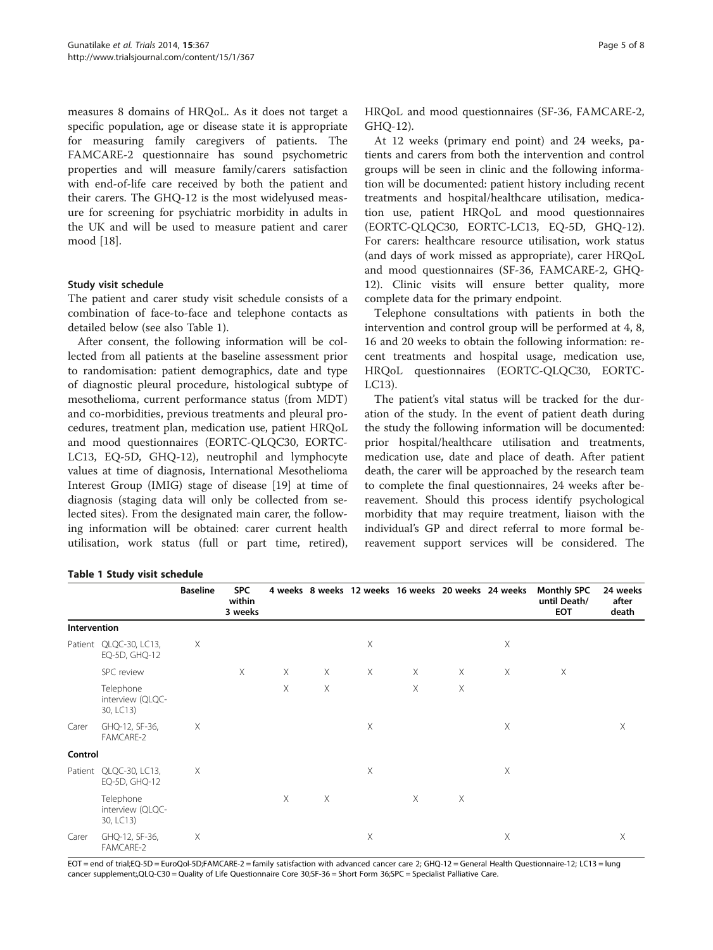measures 8 domains of HRQoL. As it does not target a specific population, age or disease state it is appropriate for measuring family caregivers of patients. The FAMCARE-2 questionnaire has sound psychometric properties and will measure family/carers satisfaction with end-of-life care received by both the patient and their carers. The GHQ-12 is the most widelyused measure for screening for psychiatric morbidity in adults in the UK and will be used to measure patient and carer mood [\[18](#page-7-0)].

#### Study visit schedule

The patient and carer study visit schedule consists of a combination of face-to-face and telephone contacts as detailed below (see also Table 1).

After consent, the following information will be collected from all patients at the baseline assessment prior to randomisation: patient demographics, date and type of diagnostic pleural procedure, histological subtype of mesothelioma, current performance status (from MDT) and co-morbidities, previous treatments and pleural procedures, treatment plan, medication use, patient HRQoL and mood questionnaires (EORTC-QLQC30, EORTC-LC13, EQ-5D, GHQ-12), neutrophil and lymphocyte values at time of diagnosis, International Mesothelioma Interest Group (IMIG) stage of disease [[19](#page-7-0)] at time of diagnosis (staging data will only be collected from selected sites). From the designated main carer, the following information will be obtained: carer current health utilisation, work status (full or part time, retired),

HRQoL and mood questionnaires (SF-36, FAMCARE-2, GHQ-12).

At 12 weeks (primary end point) and 24 weeks, patients and carers from both the intervention and control groups will be seen in clinic and the following information will be documented: patient history including recent treatments and hospital/healthcare utilisation, medication use, patient HRQoL and mood questionnaires (EORTC-QLQC30, EORTC-LC13, EQ-5D, GHQ-12). For carers: healthcare resource utilisation, work status (and days of work missed as appropriate), carer HRQoL and mood questionnaires (SF-36, FAMCARE-2, GHQ-12). Clinic visits will ensure better quality, more complete data for the primary endpoint.

Telephone consultations with patients in both the intervention and control group will be performed at 4, 8, 16 and 20 weeks to obtain the following information: recent treatments and hospital usage, medication use, HRQoL questionnaires (EORTC-QLQC30, EORTC-LC13).

The patient's vital status will be tracked for the duration of the study. In the event of patient death during the study the following information will be documented: prior hospital/healthcare utilisation and treatments, medication use, date and place of death. After patient death, the carer will be approached by the research team to complete the final questionnaires, 24 weeks after bereavement. Should this process identify psychological morbidity that may require treatment, liaison with the individual's GP and direct referral to more formal bereavement support services will be considered. The

#### Table 1 Study visit schedule

|              |                                            | <b>Baseline</b> | <b>SPC</b><br>within<br>3 weeks |          |   |          |          |          | 4 weeks 8 weeks 12 weeks 16 weeks 20 weeks 24 weeks | <b>Monthly SPC</b><br>until Death/<br><b>EOT</b> | 24 weeks<br>after<br>death |
|--------------|--------------------------------------------|-----------------|---------------------------------|----------|---|----------|----------|----------|-----------------------------------------------------|--------------------------------------------------|----------------------------|
| Intervention |                                            |                 |                                 |          |   |          |          |          |                                                     |                                                  |                            |
|              | Patient QLQC-30, LC13,<br>EQ-5D, GHQ-12    | Χ               |                                 |          |   | X        |          |          | X                                                   |                                                  |                            |
|              | SPC review                                 |                 | X                               | $\times$ | Χ | $\times$ | $\times$ | $\times$ | X                                                   | X                                                |                            |
|              | Telephone<br>interview (QLQC-<br>30, LC13) |                 |                                 | Χ        | X |          | $\times$ | $\times$ |                                                     |                                                  |                            |
| Carer        | GHQ-12, SF-36,<br>FAMCARE-2                | Χ               |                                 |          |   | Χ        |          |          | Χ                                                   |                                                  | Χ                          |
| Control      |                                            |                 |                                 |          |   |          |          |          |                                                     |                                                  |                            |
|              | Patient QLQC-30, LC13,<br>EQ-5D, GHQ-12    | Χ               |                                 |          |   | X        |          |          | X                                                   |                                                  |                            |
|              | Telephone<br>interview (QLQC-<br>30, LC13) |                 |                                 | $\times$ | Χ |          | X        | Χ        |                                                     |                                                  |                            |
| Carer        | GHQ-12, SF-36,<br>FAMCARE-2                | Χ               |                                 |          |   | X        |          |          | X                                                   |                                                  | X                          |

EOT = end of trial;EQ-5D = EuroQol-5D;FAMCARE-2 = family satisfaction with advanced cancer care 2; GHQ-12 = General Health Questionnaire-12; LC13 = lung cancer supplement;,QLQ-C30 = Quality of Life Questionnaire Core 30;SF-36 = Short Form 36;SPC = Specialist Palliative Care.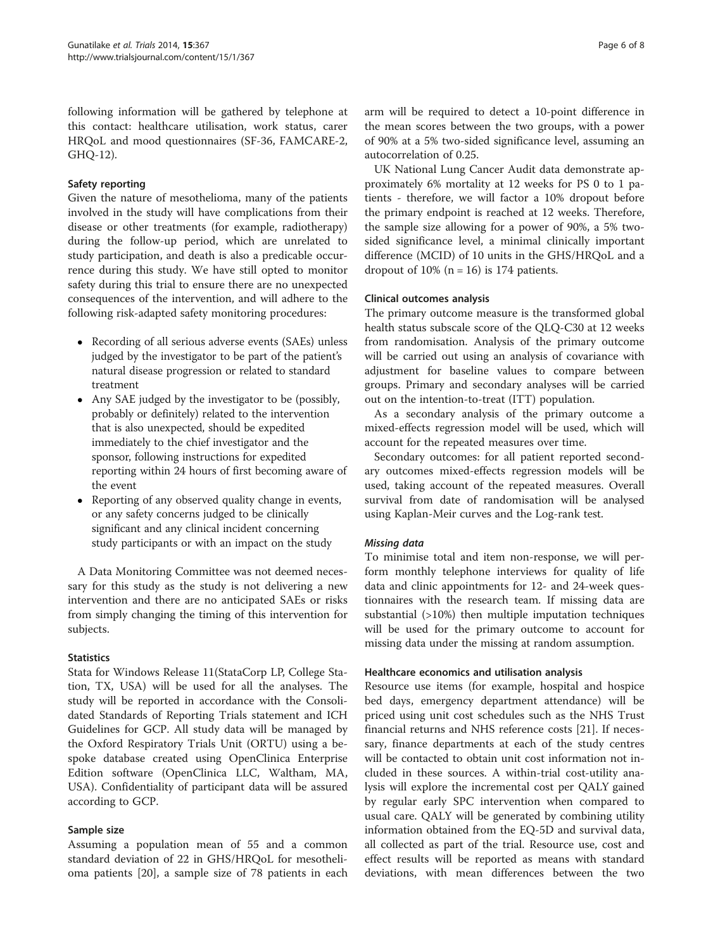following information will be gathered by telephone at this contact: healthcare utilisation, work status, carer HRQoL and mood questionnaires (SF-36, FAMCARE-2, GHQ-12).

#### Safety reporting

Given the nature of mesothelioma, many of the patients involved in the study will have complications from their disease or other treatments (for example, radiotherapy) during the follow-up period, which are unrelated to study participation, and death is also a predicable occurrence during this study. We have still opted to monitor safety during this trial to ensure there are no unexpected consequences of the intervention, and will adhere to the following risk-adapted safety monitoring procedures:

- Recording of all serious adverse events (SAEs) unless judged by the investigator to be part of the patient's natural disease progression or related to standard treatment
- Any SAE judged by the investigator to be (possibly, probably or definitely) related to the intervention that is also unexpected, should be expedited immediately to the chief investigator and the sponsor, following instructions for expedited reporting within 24 hours of first becoming aware of the event
- Reporting of any observed quality change in events, or any safety concerns judged to be clinically significant and any clinical incident concerning study participants or with an impact on the study

A Data Monitoring Committee was not deemed necessary for this study as the study is not delivering a new intervention and there are no anticipated SAEs or risks from simply changing the timing of this intervention for subjects.

#### **Statistics**

Stata for Windows Release 11(StataCorp LP, College Station, TX, USA) will be used for all the analyses. The study will be reported in accordance with the Consolidated Standards of Reporting Trials statement and ICH Guidelines for GCP. All study data will be managed by the Oxford Respiratory Trials Unit (ORTU) using a bespoke database created using OpenClinica Enterprise Edition software (OpenClinica LLC, Waltham, MA, USA). Confidentiality of participant data will be assured according to GCP.

#### Sample size

Assuming a population mean of 55 and a common standard deviation of 22 in GHS/HRQoL for mesothelioma patients [[20\]](#page-7-0), a sample size of 78 patients in each

arm will be required to detect a 10-point difference in the mean scores between the two groups, with a power of 90% at a 5% two-sided significance level, assuming an autocorrelation of 0.25.

UK National Lung Cancer Audit data demonstrate approximately 6% mortality at 12 weeks for PS 0 to 1 patients - therefore, we will factor a 10% dropout before the primary endpoint is reached at 12 weeks. Therefore, the sample size allowing for a power of 90%, a 5% twosided significance level, a minimal clinically important difference (MCID) of 10 units in the GHS/HRQoL and a dropout of  $10\%$  (n = 16) is 174 patients.

#### Clinical outcomes analysis

The primary outcome measure is the transformed global health status subscale score of the QLQ-C30 at 12 weeks from randomisation. Analysis of the primary outcome will be carried out using an analysis of covariance with adjustment for baseline values to compare between groups. Primary and secondary analyses will be carried out on the intention-to-treat (ITT) population.

As a secondary analysis of the primary outcome a mixed-effects regression model will be used, which will account for the repeated measures over time.

Secondary outcomes: for all patient reported secondary outcomes mixed-effects regression models will be used, taking account of the repeated measures. Overall survival from date of randomisation will be analysed using Kaplan-Meir curves and the Log-rank test.

#### Missing data

To minimise total and item non-response, we will perform monthly telephone interviews for quality of life data and clinic appointments for 12- and 24-week questionnaires with the research team. If missing data are substantial (>10%) then multiple imputation techniques will be used for the primary outcome to account for missing data under the missing at random assumption.

#### Healthcare economics and utilisation analysis

Resource use items (for example, hospital and hospice bed days, emergency department attendance) will be priced using unit cost schedules such as the NHS Trust financial returns and NHS reference costs [[21](#page-7-0)]. If necessary, finance departments at each of the study centres will be contacted to obtain unit cost information not included in these sources. A within-trial cost-utility analysis will explore the incremental cost per QALY gained by regular early SPC intervention when compared to usual care. QALY will be generated by combining utility information obtained from the EQ-5D and survival data, all collected as part of the trial. Resource use, cost and effect results will be reported as means with standard deviations, with mean differences between the two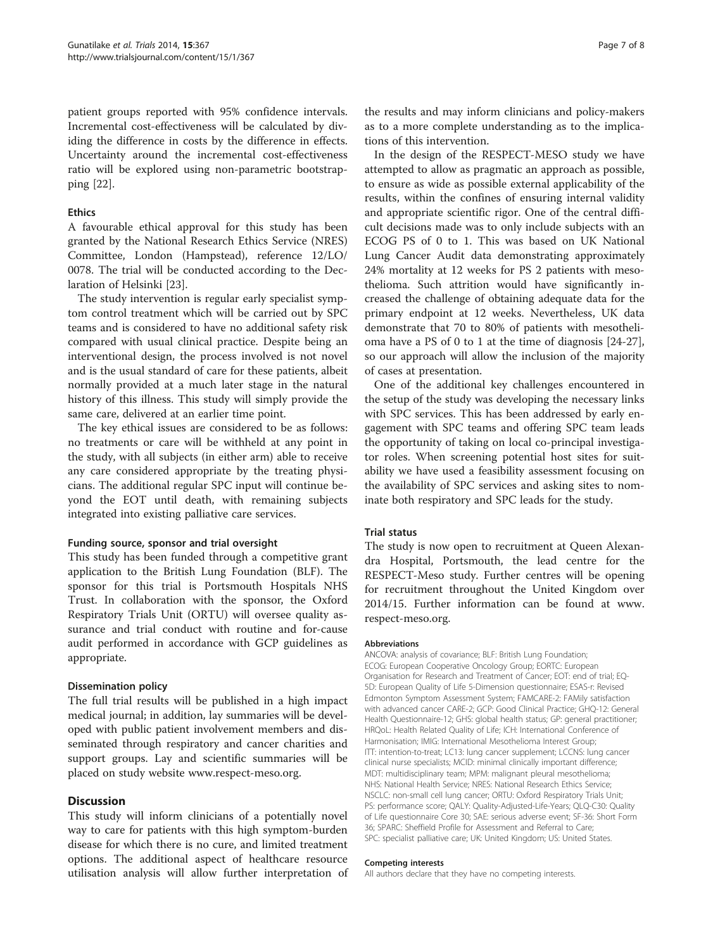patient groups reported with 95% confidence intervals. Incremental cost-effectiveness will be calculated by dividing the difference in costs by the difference in effects. Uncertainty around the incremental cost-effectiveness ratio will be explored using non-parametric bootstrapping [[22\]](#page-7-0).

#### Ethics

A favourable ethical approval for this study has been granted by the National Research Ethics Service (NRES) Committee, London (Hampstead), reference 12/LO/ 0078. The trial will be conducted according to the Declaration of Helsinki [[23\]](#page-7-0).

The study intervention is regular early specialist symptom control treatment which will be carried out by SPC teams and is considered to have no additional safety risk compared with usual clinical practice. Despite being an interventional design, the process involved is not novel and is the usual standard of care for these patients, albeit normally provided at a much later stage in the natural history of this illness. This study will simply provide the same care, delivered at an earlier time point.

The key ethical issues are considered to be as follows: no treatments or care will be withheld at any point in the study, with all subjects (in either arm) able to receive any care considered appropriate by the treating physicians. The additional regular SPC input will continue beyond the EOT until death, with remaining subjects integrated into existing palliative care services.

#### Funding source, sponsor and trial oversight

This study has been funded through a competitive grant application to the British Lung Foundation (BLF). The sponsor for this trial is Portsmouth Hospitals NHS Trust. In collaboration with the sponsor, the Oxford Respiratory Trials Unit (ORTU) will oversee quality assurance and trial conduct with routine and for-cause audit performed in accordance with GCP guidelines as appropriate.

#### Dissemination policy

The full trial results will be published in a high impact medical journal; in addition, lay summaries will be developed with public patient involvement members and disseminated through respiratory and cancer charities and support groups. Lay and scientific summaries will be placed on study website [www.respect-meso.org.](http://www.respect-meso.org)

#### **Discussion**

This study will inform clinicians of a potentially novel way to care for patients with this high symptom-burden disease for which there is no cure, and limited treatment options. The additional aspect of healthcare resource utilisation analysis will allow further interpretation of the results and may inform clinicians and policy-makers as to a more complete understanding as to the implications of this intervention.

In the design of the RESPECT-MESO study we have attempted to allow as pragmatic an approach as possible, to ensure as wide as possible external applicability of the results, within the confines of ensuring internal validity and appropriate scientific rigor. One of the central difficult decisions made was to only include subjects with an ECOG PS of 0 to 1. This was based on UK National Lung Cancer Audit data demonstrating approximately 24% mortality at 12 weeks for PS 2 patients with mesothelioma. Such attrition would have significantly increased the challenge of obtaining adequate data for the primary endpoint at 12 weeks. Nevertheless, UK data demonstrate that 70 to 80% of patients with mesothelioma have a PS of 0 to 1 at the time of diagnosis [\[24-27](#page-7-0)], so our approach will allow the inclusion of the majority of cases at presentation.

One of the additional key challenges encountered in the setup of the study was developing the necessary links with SPC services. This has been addressed by early engagement with SPC teams and offering SPC team leads the opportunity of taking on local co-principal investigator roles. When screening potential host sites for suitability we have used a feasibility assessment focusing on the availability of SPC services and asking sites to nominate both respiratory and SPC leads for the study.

#### Trial status

The study is now open to recruitment at Queen Alexandra Hospital, Portsmouth, the lead centre for the RESPECT-Meso study. Further centres will be opening for recruitment throughout the United Kingdom over 2014/15. Further information can be found at [www.](http://www.respect-meso.org) [respect-meso.org](http://www.respect-meso.org).

#### Abbreviations

ANCOVA: analysis of covariance; BLF: British Lung Foundation; ECOG: European Cooperative Oncology Group; EORTC: European Organisation for Research and Treatment of Cancer; EOT: end of trial; EQ-5D: European Quality of Life 5-Dimension questionnaire; ESAS-r: Revised Edmonton Symptom Assessment System; FAMCARE-2: FAMily satisfaction with advanced cancer CARE-2; GCP: Good Clinical Practice; GHQ-12: General Health Questionnaire-12; GHS: global health status; GP: general practitioner; HRQoL: Health Related Quality of Life; ICH: International Conference of Harmonisation; IMIG: International Mesothelioma Interest Group; ITT: intention-to-treat; LC13: lung cancer supplement; LCCNS: lung cancer clinical nurse specialists; MCID: minimal clinically important difference; MDT: multidisciplinary team; MPM: malignant pleural mesothelioma; NHS: National Health Service; NRES: National Research Ethics Service; NSCLC: non-small cell lung cancer; ORTU: Oxford Respiratory Trials Unit; PS: performance score; QALY: Quality-Adjusted-Life-Years; QLQ-C30: Quality of Life questionnaire Core 30; SAE: serious adverse event; SF-36: Short Form 36; SPARC: Sheffield Profile for Assessment and Referral to Care; SPC: specialist palliative care; UK: United Kingdom; US: United States.

#### Competing interests

All authors declare that they have no competing interests.